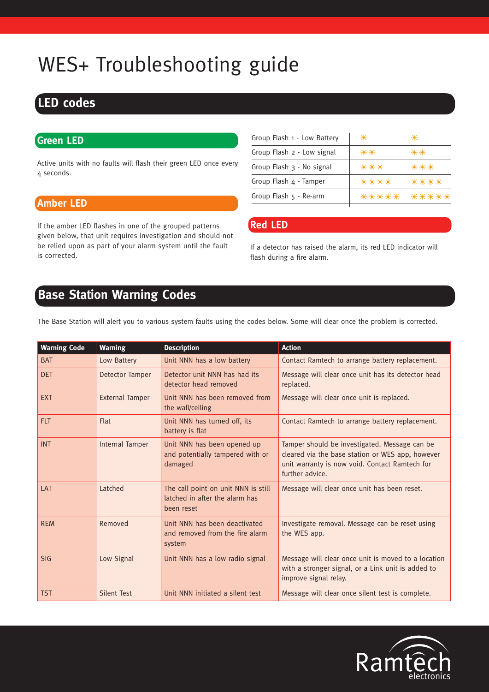# WES+ Troubleshooting guide

## **LED codes**

### **Green LED**

Active units with no faults will flash their green LED once every 4 seconds.

### **Amber LED**

If the amber LED flashes in one of the grouped patterns given below, that unit requires investigation and should not be relied upon as part of your alarm system until the fault is corrected.

| Group Flash 1 - Low Battery     | 米     | ₩       |
|---------------------------------|-------|---------|
| Group Flash 2 - Low signal      | 米米    | ₩₩      |
| Group Flash 3 - No signal       | ***   | ***     |
| Group Flash $4 -$ Tamper        | ****  | ****    |
| Group Flash $5 - Re\text{-}arm$ | ***** | - 米米米米米 |
|                                 |       |         |

### **Red LED**

If a detector has raised the alarm, its red LED indicator will flash during a fire alarm.

## **Base Station Warning Codes**

The Base Station will alert you to various system faults using the codes below. Some will clear once the problem is corrected.

| <b>Warning Code</b> | <b>Warning</b>         | <b>Description</b>                                                                  | <b>Action</b>                                                                                                                                                          |
|---------------------|------------------------|-------------------------------------------------------------------------------------|------------------------------------------------------------------------------------------------------------------------------------------------------------------------|
| <b>BAT</b>          | Low Battery            | Unit NNN has a low battery                                                          | Contact Ramtech to arrange battery replacement.                                                                                                                        |
| <b>DET</b>          | <b>Detector Tamper</b> | Detector unit NNN has had its<br>detector head removed                              | Message will clear once unit has its detector head<br>replaced.                                                                                                        |
| <b>EXT</b>          | <b>External Tamper</b> | Unit NNN has been removed from<br>the wall/ceiling                                  | Message will clear once unit is replaced.                                                                                                                              |
| <b>FLT</b>          | Flat                   | Unit NNN has turned off, its<br>battery is flat                                     | Contact Ramtech to arrange battery replacement.                                                                                                                        |
| <b>INT</b>          | Internal Tamper        | Unit NNN has been opened up<br>and potentially tampered with or<br>damaged          | Tamper should be investigated. Message can be<br>cleared via the base station or WES app, however<br>unit warranty is now void. Contact Ramtech for<br>further advice. |
| LAT                 | Latched                | The call point on unit NNN is still<br>latched in after the alarm has<br>been reset | Message will clear once unit has been reset.                                                                                                                           |
| <b>REM</b>          | Removed                | Unit NNN has been deactivated<br>and removed from the fire alarm<br>system          | Investigate removal. Message can be reset using<br>the WES app.                                                                                                        |
| SIG                 | Low Signal             | Unit NNN has a low radio signal                                                     | Message will clear once unit is moved to a location<br>with a stronger signal, or a Link unit is added to<br>improve signal relay.                                     |
| <b>TST</b>          | <b>Silent Test</b>     | Unit NNN initiated a silent test                                                    | Message will clear once silent test is complete.                                                                                                                       |